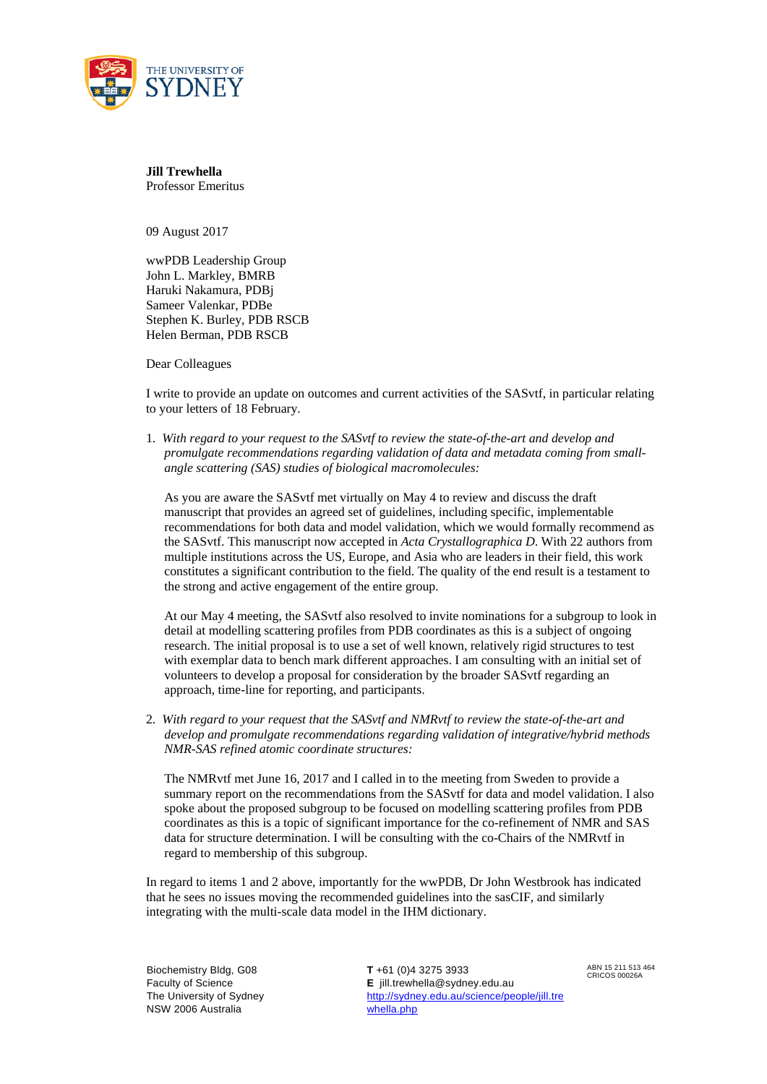

**Jill Trewhella**  Professor Emeritus

09 August 2017

wwPDB Leadership Group John L. Markley, BMRB Haruki Nakamura, PDBj Sameer Valenkar, PDBe Stephen K. Burley, PDB RSCB Helen Berman, PDB RSCB

Dear Colleagues

I write to provide an update on outcomes and current activities of the SASvtf, in particular relating to your letters of 18 February.

1. *With regard to your request to the SASvtf to review the state-of-the-art and develop and promulgate recommendations regarding validation of data and metadata coming from smallangle scattering (SAS) studies of biological macromolecules:* 

As you are aware the SASvtf met virtually on May 4 to review and discuss the draft manuscript that provides an agreed set of guidelines, including specific, implementable recommendations for both data and model validation, which we would formally recommend as the SASvtf. This manuscript now accepted in *Acta Crystallographica D*. With 22 authors from multiple institutions across the US, Europe, and Asia who are leaders in their field, this work constitutes a significant contribution to the field. The quality of the end result is a testament to the strong and active engagement of the entire group.

At our May 4 meeting, the SASvtf also resolved to invite nominations for a subgroup to look in detail at modelling scattering profiles from PDB coordinates as this is a subject of ongoing research. The initial proposal is to use a set of well known, relatively rigid structures to test with exemplar data to bench mark different approaches. I am consulting with an initial set of volunteers to develop a proposal for consideration by the broader SASvtf regarding an approach, time-line for reporting, and participants.

2. *With regard to your request that the SASvtf and NMRvtf to review the state-of-the-art and develop and promulgate recommendations regarding validation of integrative/hybrid methods NMR-SAS refined atomic coordinate structures:* 

The NMRvtf met June 16, 2017 and I called in to the meeting from Sweden to provide a summary report on the recommendations from the SASvtf for data and model validation. I also spoke about the proposed subgroup to be focused on modelling scattering profiles from PDB coordinates as this is a topic of significant importance for the co-refinement of NMR and SAS data for structure determination. I will be consulting with the co-Chairs of the NMRvtf in regard to membership of this subgroup.

In regard to items 1 and 2 above, importantly for the wwPDB, Dr John Westbrook has indicated that he sees no issues moving the recommended guidelines into the sasCIF, and similarly integrating with the multi-scale data model in the IHM dictionary.

Biochemistry Bldg, G08 Faculty of Science The University of Sydney NSW 2006 Australia

 **T** +61 (0)4 3275 3933 **E** jill.trewhella@sydney.edu.au http://sydney.edu.au/science/people/jill.tre whella.php

ABN 15 211 513 464 CRICOS 00026A